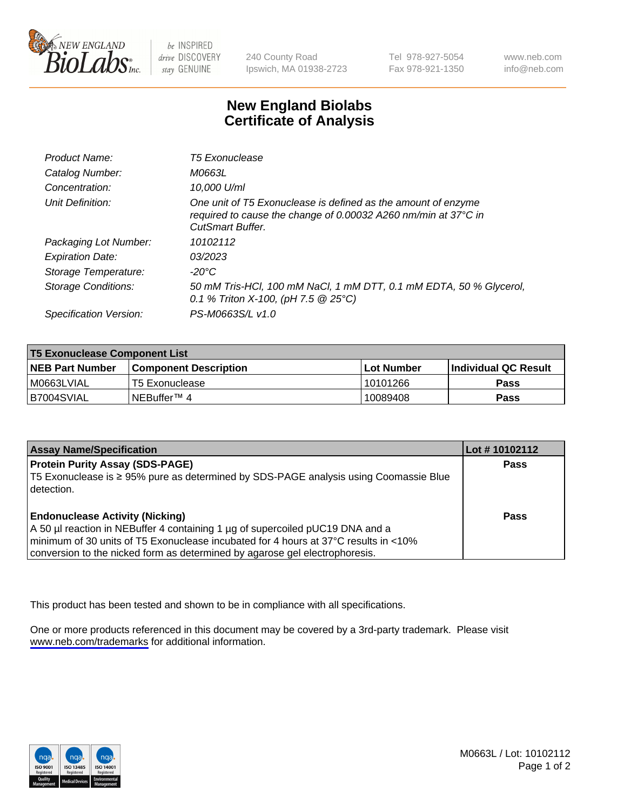

be INSPIRED drive DISCOVERY stay GENUINE

240 County Road Ipswich, MA 01938-2723 Tel 978-927-5054 Fax 978-921-1350

www.neb.com info@neb.com

## **New England Biolabs Certificate of Analysis**

| Product Name:              | <b>T5 Exonuclease</b>                                                                                                                                      |
|----------------------------|------------------------------------------------------------------------------------------------------------------------------------------------------------|
| Catalog Number:            | M0663L                                                                                                                                                     |
| Concentration:             | 10,000 U/ml                                                                                                                                                |
| Unit Definition:           | One unit of T5 Exonuclease is defined as the amount of enzyme<br>required to cause the change of 0.00032 A260 nm/min at 37°C in<br><b>CutSmart Buffer.</b> |
| Packaging Lot Number:      | 10102112                                                                                                                                                   |
| <b>Expiration Date:</b>    | 03/2023                                                                                                                                                    |
| Storage Temperature:       | $-20^{\circ}$ C                                                                                                                                            |
| <b>Storage Conditions:</b> | 50 mM Tris-HCl, 100 mM NaCl, 1 mM DTT, 0.1 mM EDTA, 50 % Glycerol,<br>0.1 % Triton X-100, (pH 7.5 $@25°C$ )                                                |
| Specification Version:     | PS-M0663S/L v1.0                                                                                                                                           |

| <b>T5 Exonuclease Component List</b> |                         |             |                             |  |
|--------------------------------------|-------------------------|-------------|-----------------------------|--|
| <b>NEB Part Number</b>               | l Component Description | ⊺Lot Number | <b>Individual QC Result</b> |  |
| I M0663LVIAL                         | T5 Exonuclease          | 10101266    | <b>Pass</b>                 |  |
| IB7004SVIAL                          | l NEBuffer™ 4∶          | 10089408    | <b>Pass</b>                 |  |

| <b>Assay Name/Specification</b>                                                                                                                                                                                                                                                               | Lot # 10102112 |
|-----------------------------------------------------------------------------------------------------------------------------------------------------------------------------------------------------------------------------------------------------------------------------------------------|----------------|
| <b>Protein Purity Assay (SDS-PAGE)</b><br>T5 Exonuclease is ≥ 95% pure as determined by SDS-PAGE analysis using Coomassie Blue<br>I detection.                                                                                                                                                | <b>Pass</b>    |
| <b>Endonuclease Activity (Nicking)</b><br>A 50 µl reaction in NEBuffer 4 containing 1 µg of supercoiled pUC19 DNA and a<br>minimum of 30 units of T5 Exonuclease incubated for 4 hours at 37°C results in <10%<br>conversion to the nicked form as determined by agarose gel electrophoresis. | Pass           |

This product has been tested and shown to be in compliance with all specifications.

One or more products referenced in this document may be covered by a 3rd-party trademark. Please visit <www.neb.com/trademarks>for additional information.